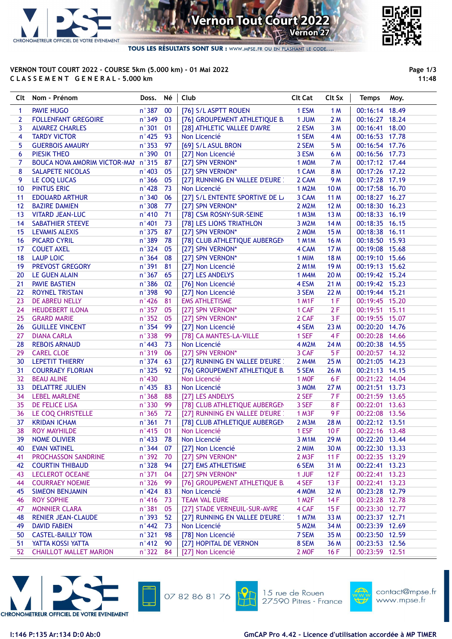

## **Vernon Tout Court 202** Vernon<sup>27</sup> B

TOUS LES RÉSULTATS SONT SUR : WWW.MPSE.FR OU EN FLASHANT LE CODE...

## VERNON TOUT COURT 2022 - COURSE 5km (5.000 km) - 01 Mai 2022 C L A S S E M E N T G E N E R A L - 5.000 km



11:48

|              | Clt Nom - Prénom                   | Doss.           | Né  | Club                            | <b>Clt Cat</b>     | Clt Sx      | <b>Temps</b>   | Moy. |
|--------------|------------------------------------|-----------------|-----|---------------------------------|--------------------|-------------|----------------|------|
| 1            | PAVIE HUGO                         | $n^{\circ}387$  | 00  | [76] S/L ASPTT ROUEN            | 1 ESM              | 1M          | 00:16:14 18.49 |      |
| $\mathbf{2}$ | <b>FOLLENFANT GREGOIRE</b>         | $n^{\circ}349$  | 03  | [76] GROUPEMENT ATHLETIQUE B.   | 1 JUM              | 2M          | 00:16:27 18.24 |      |
| 3            | <b>ALVAREZ CHARLES</b>             | $n^{\circ}301$  | 01  | [28] ATHLETIC VALLEE D'AVRE     | 2 ESM              | 3M          | 00:16:41 18.00 |      |
| 4            | <b>TARDY VICTOR</b>                | $n^{\circ}$ 425 | 93  | Non Licencié                    | 1 SEM              | 4 M         | 00:16:53 17.78 |      |
| 5            | <b>GUERBOIS AMAURY</b>             | $n^{\circ}353$  | 97  | [69] S/L ASUL BRON              | 2 SEM              | 5 M         | 00:16:54 17.76 |      |
| 6            | <b>PIESIK THEO</b>                 | n°390           | 01  | [27] Non Licencié               | 3 ESM              | 6 M         | 00:16:56 17.73 |      |
| 7            | BOUCA NOVA AMORIM VICTOR-MAI n°315 |                 | 87  | [27] SPN VERNON*                | 1 MOM              | 7 M         | 00:17:12 17.44 |      |
| 8            | SALAPETE NICOLAS                   | $n^{\circ}$ 403 | 05  | [27] SPN VERNON*                | 1 CAM              | 8 M         | 00:17:26 17.22 |      |
| 9            | LE COQ LUCAS                       | $n^{\circ}366$  | 05  | [27] RUNNING EN VALLEE D'EURE : | 2 CAM              | 9 M         | 00:17:28 17.19 |      |
| 10           | <b>PINTUS ERIC</b>                 | $n^{\circ}$ 428 | 73  | Non Licencié                    | <b>1 M2M</b>       | <b>10 M</b> | 00:17:58 16.70 |      |
| 11           | <b>EDOUARD ARTHUR</b>              | $n^{\circ}340$  | 06  | [27] S/L ENTENTE SPORTIVE DE L  | 3 CAM              | 11 M        | 00:18:27 16.27 |      |
| 12           | <b>BAZIRE DAMIEN</b>               | $n^{\circ}308$  | 77  | [27] SPN VERNON*                | 2 M2M              | 12 M        | 00:18:30 16.23 |      |
| 13           | <b>VITARD JEAN-LUC</b>             | $n^{\circ}410$  | 71  | [78] CSM ROSNY-SUR-SEINE        | 1 M3M              | 13 M        | 00:18:33 16.19 |      |
| 14           | SABATHIER STEEVE                   | $n^{\circ}401$  | 73  | [78] LES LIONS TRIATHLON        | 3 M2M              | 14 M        | 00:18:35 16.15 |      |
| 15           | <b>LEVAMIS ALEXIS</b>              | $n^{\circ}375$  | 87  | [27] SPN VERNON*                | 2 MOM              | 15 M        | 00:18:38 16.11 |      |
| 16           | <b>PICARD CYRIL</b>                | n°389           | 78  | [78] CLUB ATHLETIQUE AUBERGEN   | <b>1 M1M</b>       | <b>16 M</b> | 00:18:50 15.93 |      |
| 17           | <b>COUET AXEL</b>                  | $n^{\circ}324$  | 05  | [27] SPN VERNON*                | 4 CAM              | 17 M        | 00:19:08 15.68 |      |
| 18           | <b>LAUP LOIC</b>                   | $n^{\circ}364$  | 08  | [27] SPN VERNON*                | 1 MIM              | <b>18 M</b> | 00:19:10 15.66 |      |
| 19           | PREVOST GREGORY                    | $n^{\circ}391$  | 81  | [27] Non Licencié               | <b>2 M1M</b>       | 19 M        | 00:19:13 15.62 |      |
| 20           | <b>LE GUEN ALAIN</b>               | $n^{\circ}367$  | 65  | [27] LES ANDELYS                | 1 M4M              | 20 M        | 00:19:42 15.24 |      |
| 21           | <b>PAVIE BASTIEN</b>               | $n^{\circ}386$  | 02  | [76] Non Licencié               | 4 ESM              | 21 M        | 00:19:42 15.23 |      |
| 22           | <b>ROYNEL TRISTAN</b>              | $n^{\circ}398$  | 90  | [27] Non Licencié               | 3 SEM              | 22 M        | 00:19:44 15.21 |      |
| 23           | DE ABREU NELLY                     | $n^{\circ}$ 426 | 81  | <b>EMS ATHLETISME</b>           | <b>1 M1F</b>       | 1 F         | 00:19:45 15.20 |      |
| 24           | <b>HEUDEBERT ILONA</b>             | $n^{\circ}357$  | 05  | [27] SPN VERNON*                | 1 CAF              | 2F          | 00:19:51 15.11 |      |
| 25           | <b>GRARD MARIE</b>                 | $n^{\circ}352$  | 05  | [27] SPN VERNON*                | 2 CAF              | 3F          | 00:19:55 15.07 |      |
| 26           | <b>GUILLEE VINCENT</b>             | $n^{\circ}354$  | 99  | [27] Non Licencié               | 4 SEM              | 23 M        | 00:20:20 14.76 |      |
| 27           | <b>DIANA CARLA</b>                 | $n^{\circ}338$  | 99  | [78] CA MANTES-LA-VILLE         | 1 SEF              | 4F          | 00:20:28 14.66 |      |
| 28           | <b>REBOIS ARNAUD</b>               | $n^{\circ}$ 443 | 73  | Non Licencié                    | <b>4 M2M</b>       | 24 M        | 00:20:38 14.55 |      |
| 29           | <b>CAREL CLOE</b>                  | n°319           | 06  | [27] SPN VERNON*                | 3 CAF              | 5F          | 00:20:57 14.32 |      |
| 30           | <b>LEPETIT THIERRY</b>             | $n^{\circ}374$  | 63  | [27] RUNNING EN VALLEE D'EURE : | 2 M4M              | 25 M        | 00:21:05 14.23 |      |
| 31           | <b>COURRAEY FLORIAN</b>            | $n^{\circ}325$  | 92  | [76] GROUPEMENT ATHLETIQUE B.   | 5 SEM              | 26 M        | 00:21:13 14.15 |      |
| 32           | <b>BEAU ALINE</b>                  | $n^{\circ}$ 430 |     | Non Licencié                    | 1 MOF              | 6F          | 00:21:22 14.04 |      |
| 33           | <b>DELATTRE JULIEN</b>             | $n^{\circ}$ 435 | 83  | Non Licencié                    | 3 MOM              | 27 M        | 00:21:51 13.73 |      |
| 34           | <b>LEBEL MARLENE</b>               | $n^{\circ}368$  | 88  | [27] LES ANDELYS                | 2 SEF              | 7F          | 00:21:59 13.65 |      |
| 35           | DE FELICE LISA                     | n°330           | 99  | [78] CLUB ATHLETIQUE AUBERGEN   | 3 SEF              | 8F          | 00:22:01 13.63 |      |
| 36           | LE COQ CHRISTELLE                  | $n^{\circ}365$  | 72  | [27] RUNNING EN VALLEE D'EURE : | 1 M3F              | 9F          | 00:22:08 13.56 |      |
| 37           | <b>KRIDAN ICHAM</b>                | $n^{\circ}361$  | 71  | [78] CLUB ATHLETIQUE AUBERGEN   | $2$ M $3M$         | 28 M        | 00:22:12 13.51 |      |
| 38           | <b>ROY MAYHILDE</b>                | $n^{\circ}$ 415 | 01  | Non Licencié                    | 1 ESF              | 10F         | 00:22:16 13.48 |      |
| 39           | <b>NOME OLIVIER</b>                | n°433 78        |     | Non Licencié                    | 3 M1M              | 29 M        | 00:22:20 13.44 |      |
| 40           | <b>EVAN VATINEL</b>                | $n^{\circ}$ 344 | 07  | [27] Non Licencié               | 2 MIM              | 30 M        | 00:22:30 13.33 |      |
| 41           | PROCHASSON SANDRINE                | $n^{\circ}392$  | 70  | [27] SPN VERNON*                | 2 M3F              | 11F         | 00:22:35 13.29 |      |
| 42           | <b>COURTIN THIBAUD</b>             | n°328           | 94  | [27] EMS ATHLETISME             | 6 SEM              | 31 M        | 00:22:41 13.23 |      |
| 43           | <b>LECLEROT OCEANE</b>             | $n^{\circ}371$  | 04  | [27] SPN VERNON*                | 1 JUF              | 12F         | 00:22:41 13.23 |      |
| 44           | <b>COURRAEY NOEMIE</b>             | $n^{\circ}326$  | 99  | [76] GROUPEMENT ATHLETIQUE B.   | 4 SEF              | 13F         | 00:22:41 13.23 |      |
| 45           | <b>SIMEON BENJAMIN</b>             | $n^{\circ}$ 424 | 83  | Non Licencié                    | 4 MOM              | 32 M        | 00:23:28 12.79 |      |
| 46           | <b>ROY SOPHIE</b>                  | $n^{\circ}$ 416 | -73 | <b>TEAM VAL EURE</b>            | 1 M <sub>2</sub> F | 14F         | 00:23:28 12.78 |      |
| 47           | <b>MONNIER CLARA</b>               | $n^{\circ}381$  | 05  | [27] STADE VERNEUIL-SUR-AVRE    | 4 CAF              | 15F         | 00:23:30 12.77 |      |
| 48           | <b>RENIER JEAN-CLAUDE</b>          | $n^{\circ}$ 393 | 52  | [27] RUNNING EN VALLEE D'EURE : | <b>1 M7M</b>       | 33 M        | 00:23:37 12.71 |      |
| 49           | <b>DAVID FABIEN</b>                | $n^{\circ}442$  | 73  | Non Licencié                    | 5 M2M              | 34 M        | 00:23:39 12.69 |      |
| 50           | <b>CASTEL-BAILLY TOM</b>           | $n^{\circ}321$  | 98  | [78] Non Licencié               | 7 SEM              | 35 M        | 00:23:50 12.59 |      |
| 51           | YATTA KOSSI YATTA                  | $n^{\circ}412$  | 90  | [27] HOPITAL DE VERNON          | 8 SEM              | 36 M        | 00:23:53 12.56 |      |
| 52           | <b>CHAILLOT MALLET MARION</b>      | n°322 84        |     | [27] Non Licencié               | 2 MOF              | 16F         | 00:23:59 12.51 |      |
|              |                                    |                 |     |                                 |                    |             |                |      |





15 rue de Rouen 27590 Pitres - France



contact@mpse.fr www.mpse.fr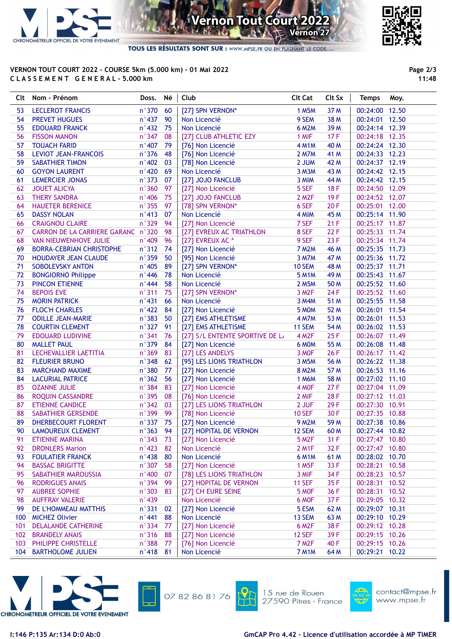

**Vernon Tout Court 202** Vernon<sup>27</sup>

TOUS LES RÉSULTATS SONT SUR : WWW.MPSE.FR OU EN FLASHANT LE CODE.

## VERNON TOUT COURT 2022 - COURSE 5km (5.000 km) - 01 Mai 2022 C L A S S E M E N T G E N E R A L - 5.000 km



Page 2/3 11:48

|     | Clt Nom - Prénom                   | Doss.           | Né | Club                               | <b>Clt Cat</b>     | Clt Sx | <b>Temps</b><br>Moy. |
|-----|------------------------------------|-----------------|----|------------------------------------|--------------------|--------|----------------------|
| 53  | <b>LECLEROT FRANCIS</b>            | n°370           | 60 | [27] SPN VERNON*                   | 1 M5M              | 37 M   | 00:24:00 12.50       |
| 54  | <b>PREVET HUGUES</b>               | $n^{\circ}437$  | 90 | Non Licencié                       | 9 SEM              | 38 M   | 00:24:01 12.50       |
| 55  | <b>EDOUARD FRANCK</b>              | $n^{\circ}432$  | 75 | Non Licencié                       | <b>6 M2M</b>       | 39 M   | 00:24:14 12.39       |
| 56  | <b>FISSON MANON</b>                | $n^{\circ}347$  | 08 | [27] CLUB ATHLETIC EZY             | 1 MIF              | 17F    | 00:24:18 12.35       |
| 57  | <b>TOUACH FARID</b>                | $n^{\circ}407$  | 79 | [76] Non Licencié                  | <b>4 M1M</b>       | 40 M   | 00:24:24 12.30       |
| 58  | LEVIOT JEAN-FRANCOIS               | $n^{\circ}376$  | 48 | [76] Non Licencié                  | 2 M7M              | 41 M   | 00:24:33 12.23       |
| 59  | <b>SABATHIER TIMON</b>             | $n^{\circ}$ 402 | 03 | [78] Non Licencié                  | 2 JUM              | 42 M   | 00:24:37 12.19       |
| 60  | <b>GOYON LAURENT</b>               | $n^{\circ}420$  | 69 | Non Licencié                       | 3 M3M              | 43 M   | 00:24:42 12.15       |
| 61  | LEMERCIER JONAS                    | $n^{\circ}373$  | 07 | [27] JOJO FANCLUB                  | 3 MIM              | 44 M   | 00:24:42 12.15       |
| 62  | <b>JOUET ALICYA</b>                | $n^{\circ}360$  | 97 | [27] Non Licencié                  | 5 SEF              | 18F    | 00:24:50 12.09       |
| 63  | <b>THERY SANDRA</b>                | $n^{\circ}$ 406 | 75 | [27] JOJO FANCLUB                  | 2 M <sub>2</sub> F | 19F    | 00:24:52 12.07       |
| 64  | <b>HAUETER BERENICE</b>            | $n^{\circ}355$  | 97 | [78] SPN VERNON*                   | 6 SEF              | 20F    | 00:25:01 12.00       |
| 65  | <b>DASSY NOLAN</b>                 | $n^{\circ}$ 413 | 07 | Non Licencié                       | 4 MIM              | 45 M   | 00:25:14 11.90       |
| 66  | <b>CRAIGNOU CLAIRE</b>             | n°329           | 94 | [27] Non Licencié                  | 7 SEF              | 21F    | 00:25:17 11.87       |
| 67  | CARRON DE LA CARRIERE GARANC n°320 |                 | 98 | [27] EVREUX AC TRIATHLON           | 8 SEF              | 22F    | 00:25:33 11.74       |
| 68  | VAN NIEUWENHOVE JULIE              | $n^{\circ}$ 409 | 96 | [27] EVREUX AC *                   | 9 SEF              | 23F    | 00:25:34 11.74       |
| 69  | <b>BORRA-CEBRIAN CHRISTOPHE</b>    | $n^{\circ}312$  | 74 | [27] Non Licencié                  | <b>7 M2M</b>       | 46 M   | 00:25:35 11.73       |
| 70  | HOUDAYER JEAN CLAUDE               | n°359           | 50 | [95] Non Licencié                  | 3 M7M              | 47 M   | 00:25:36 11.72       |
| 71  | SOBOLEVSKY ANTON                   | $n^{\circ}$ 405 | 89 | [27] SPN VERNON*                   | 10 SEM             | 48 M   | 00:25:37 11.71       |
| 72  | <b>BONGIORNO Philippe</b>          | $n^{\circ}$ 446 | 78 | Non Licencié                       | <b>5 M1M</b>       | 49 M   | 00:25:43 11.67       |
| 73  | PINCON ETIENNE                     | $n^{\circ}$ 444 | 58 | Non Licencié                       | 2 M5M              | 50 M   | 00:25:52 11.60       |
| 74  | <b>BEPOIS EVE</b>                  | n°311           | 75 | [27] SPN VERNON*                   | 3 M <sub>2</sub> F | 24 F   | 00:25:52 11.60       |
| 75  | <b>MORIN PATRICK</b>               | $n^{\circ}431$  | 66 | Non Licencié                       | 3 M4M              | 51 M   | 00:25:55 11.58       |
| 76  | <b>FLOC'H CHARLES</b>              | $n^{\circ}422$  | 84 | [27] Non Licencié                  | 5 MOM              | 52 M   | 00:26:01 11.54       |
| 77  | <b>ODILLE JEAN-MARIE</b>           | $n^{\circ}383$  | 50 | [27] EMS ATHLETISME                | <b>4 M7M</b>       | 53 M   | 00:26:01 11.53       |
| 78  | <b>COURTIN CLEMENT</b>             | $n^{\circ}327$  | 91 | [27] EMS ATHLETISME                | 11 SEM             | 54 M   | 00:26:02 11.53       |
| 79  | <b>EDOUARD LUDIVINE</b>            | $n^{\circ}$ 341 | 76 | [27] S/L ENTENTE SPORTIVE DE L     | <b>4 M2F</b>       | 25F    | 00:26:07 11.49       |
| 80  | <b>MALLET PAUL</b>                 | $n^{\circ}379$  | 84 | [27] Non Licencié                  | 6 MOM              | 55 M   | 00:26:08 11.48       |
| 81  | LECHEVALLIER LAETITIA              | $n^{\circ}369$  | 83 | [27] LES ANDELYS                   | 3 MOF              | 26 F   | 00:26:17 11.42       |
| 82  | <b>FLEURIER BRUNO</b>              | $n^{\circ}348$  | 62 | [95] LES LIONS TRIATHLON           | 3 M5M              | 56 M   | 00:26:22 11.38       |
| 83  | <b>MARCHAND MAXIME</b>             | $n^{\circ}380$  | 77 | [27] Non Licencié                  | <b>8 M2M</b>       | 57 M   | 00:26:53 11.16       |
| 84  | <b>LACURIAL PATRICE</b>            | $n^{\circ}362$  | 56 | [27] Non Licencié                  | <b>1 M6M</b>       | 58 M   | 00:27:02 11.10       |
| 85  | <b>OZANNE JULIE</b>                | $n^{\circ}384$  | 83 | [27] Non Licencié                  | 4 MOF              | 27F    | 00:27:04 11.09       |
| 86  | ROQUIN CASSANDRE                   | $n^{\circ}395$  | 08 | [76] Non Licencié                  | 2 MIF              | 28F    | 00:27:12 11.03       |
| 87  | <b>ETIENNE CANDICE</b>             | $n^{\circ}342$  | 03 | [27] LES LIONS TRIATHLON           | 2 JUF              | 29F    | 00:27:30 10.91       |
| 88  | SABATHIER GERSENDE                 | $n^{\circ}$ 399 | 99 | [78] Non Licencié                  | <b>10 SEF</b>      | 30 F   | 00:27:35 10.88       |
| 89  | DHERBECOURT FLORENT                | n°337 75        |    | [27] Non Licencié                  | <b>9 M2M</b>       | 59 M   | 00:27:38 10.86       |
|     | 90 LAMOUREUX CLEMENT n°363 94      |                 |    | [27] HOPITAL DE VERNON 12 SEM 60 M |                    |        | 00:27:44 10.82       |
| 91  | ETIENNE MARINA                     | $n^{\circ}343$  | 73 | [27] Non Licencié                  | 5 M2F              | 31 F   | 00:27:47 10.80       |
| 92  | <b>DRONLERS Marion</b>             | $n^{\circ}423$  | 82 | Non Licencié                       | 2 M1F              | 32 F   | 00:27:47 10.80       |
| 93  | <b>FOULATIER FRANCK</b>            | $n^{\circ}$ 438 | 80 | Non Licencié                       | <b>6 M1M</b>       | 61 M   | 00:28:02 10.70       |
| 94  | <b>BASSAC BRIGITTE</b>             | $n^{\circ}307$  | 58 | [27] Non Licencié                  | 1 M <sub>5</sub> F | 33 F   | 00:28:21 10.58       |
| 95  | SABATHIER MAROUSSIA                | $n^{\circ}400$  | 07 | [78] LES LIONS TRIATHLON           | 3 MIF              | 34 F   | 00:28:23 10.57       |
| 96  | <b>RODRIGUES ANAIS</b>             | n°394           | 99 | [27] HOPITAL DE VERNON             | <b>11 SEF</b>      | 35F    | 00:28:31 10.52       |
| 97  | <b>AUBREE SOPHIE</b>               | $n^{\circ}303$  | 83 | [27] CH EURE SEINE                 | 5 MOF              | 36 F   | 00:28:31 10.52       |
| 98  | <b>AUFFRAY VALERIE</b>             | n°439           |    | Non Licencié                       | 6 MOF              | 37F    | 00:29:05 10.32       |
| 99  | DE L'HOMMEAU MATTHIS               | $n^{\circ}331$  | 02 | [27] Non Licencié                  | 5 ESM              | 62 M   | 00:29:07 10.31       |
| 100 | <b>MICHEZ Olivier</b>              | $n^{\circ}$ 441 | 88 | Non Licencié                       | 13 SEM             | 63 M   | 00:29:10 10.29       |
| 101 | <b>DELALANDE CATHERINE</b>         | n°334           | 77 | [27] Non Licencié                  | 6 M <sub>2</sub> F | 38 F   | 00:29:12 10.28       |
| 102 | <b>BRANDELY ANAIS</b>              | n°316           | 88 | [27] Non Licencié                  | <b>12 SEF</b>      | 39F    | 00:29:15 10.26       |
| 103 | PHILIPPE CHRISTELLE                | $n^{\circ}388$  | 77 | [76] Non Licencié                  | 7 M <sub>2</sub> F | 40 F   | 00:29:15 10.26       |
| 104 | <b>BARTHOLOME JULIEN</b>           | n°418           | 81 | Non Licencié                       | <b>7 M1M</b>       | 64 M   | 00:29:21 10.22       |
|     |                                    |                 |    |                                    |                    |        |                      |





15 rue de Rouen 27590 Pitres - France



contact@mpse.fr www.mpse.fr